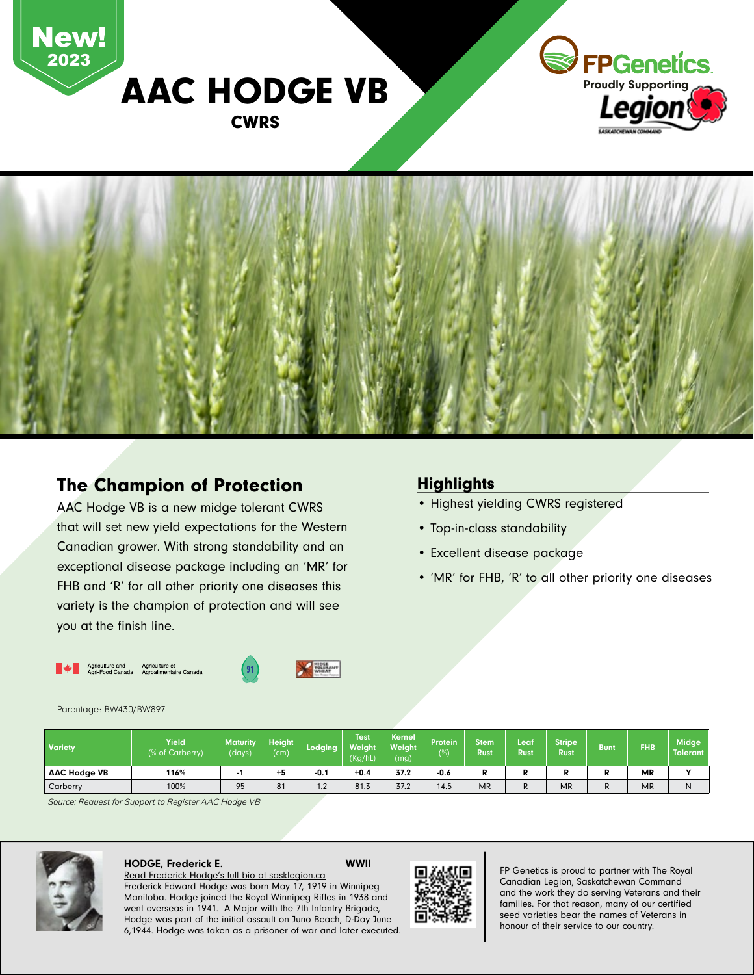

## The Champion of Protection

AAC Hodge VB is a new midge tolerant CWRS that will set new yield expectations for the Western Canadian grower. With strong standability and an exceptional disease package including an 'MR' for FHB and 'R' for all other priority one diseases this variety is the champion of protection and will see you at the finish line.

### **Highlights**

- Highest yielding CWRS registered
- Top-in-class standability
- Excellent disease package
- 'MR' for FHB, 'R' to all other priority one diseases

Agriculture et<br>Agroalimentaire Canada Agriculture and<br>Agri-Food Canada





#### Parentage: BW430/BW897

| <b>Variety</b>      | Yield<br>(% of Carberry) | <b>Maturity</b><br>(days) | <b>Height</b><br>(cm) | Lodging                        | Test<br>Weiaht<br>(Kg/hL) | <b>Kernel</b><br><b>Weight</b><br>(mg) | Protein<br>$(\%)$ | Stem<br><b>Rust</b> | Leaf<br><b>Rust</b> | <b>Stripe</b><br><b>Rust</b> | <b>Bunt</b> | <b>FHB</b> | Midge<br><b>Tolerant</b> |
|---------------------|--------------------------|---------------------------|-----------------------|--------------------------------|---------------------------|----------------------------------------|-------------------|---------------------|---------------------|------------------------------|-------------|------------|--------------------------|
| <b>AAC Hodge VB</b> | 116%                     |                           | +5                    | -0. .                          | $+0.4$                    | 37.2                                   | $-0.6$            | D<br>ĸ              | D                   |                              | N           | <b>MR</b>  | $\cdot$                  |
| Carberry            | 100%                     | 95                        | 81                    | 1 <sub>0</sub><br>$\mathbf{L}$ | 81.3                      | 37.2                                   | 14.5              | <b>MR</b>           | R                   | <b>MR</b>                    | K.          | <b>MR</b>  | N                        |

*Source: Request for Support to Register AAC Hodge VB*



#### HODGE, Frederick E. WWII Read Frederick Hodge's full bio at sasklegion.ca

Frederick Edward Hodge was born May 17, 1919 in Winnipeg Manitoba. Hodge joined the Royal Winnipeg Rifles in 1938 and went overseas in 1941. A Major with the 7th Infantry Brigade, Hodge was part of the initial assault on Juno Beach, D-Day June 6,1944. Hodge was taken as a prisoner of war and later executed.



FP Genetics is proud to partner with The Royal Canadian Legion, Saskatchewan Command and the work they do serving Veterans and their families. For that reason, many of our certified seed varieties bear the names of Veterans in honour of their service to our country.